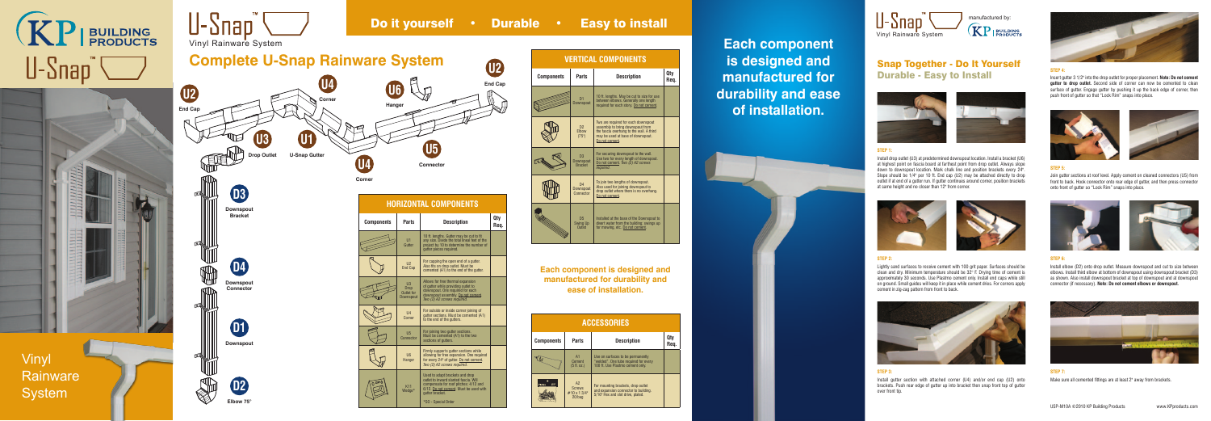

Snap Together - Do It Yourself Durable - Easy to Install



# **STEP 1:**

Install drop outlet (U3) at predetermined downspout location. Install a bracket (U6) at highest point on fascia board at farthest point from drop outlet. Always slope down to downspout location. Mark chalk line and position brackets every 24". Slope should be 1/4" per 10 ft. End cap (U2) may be attached directly to drop outlet if at end of a gutter run. If gutter continues around corner, position brackets at same height and no closer than 12" from corner.



## **STEP 2:**

Lightly sand surfaces to receive cement with 100 grit paper. Surfaces should be clean and dry. Minimum temperature should be 32° F. Drying time of cement is approximately 30 seconds. Use Plastmo cement only. Install end caps while still on ground. Small guides will keep it in place while cement dries. For corners apply cement in zig-zag pattern from front to back.



Installed at the base of the Downspout to divert water from the building; swings up for mowing, etc. Do not cement.

## **STEP 3:**

Install gutter section with attached corner (U4) and/or end cap (U2) onto brackets. Push rear edge of gutter up into bracket then snap front top of gutter over front tip.



**STEP 5:**



Join gutter sections at roof level. Apply cement on cleaned connectors (U5) from front to back. Hook connector onto rear edge of gutter, and then press connector onto front of gutter so "Lock Rim" snaps into place.





**STEP 7:** Make sure all cemented fittings are at least 2" away from brackets.

### **STEP 6:**

Install elbow (D2) onto drop outlet. Measure downspout and cut to size between elbows. Install third elbow at bottom of downspout using downspout bracket (D3) as shown. Also install downspout bracket at top of downspout and at downspout connector (if necessary). **Note: Do not cement elbows or downspout.**



## **STEP 4:**

Insert gutter 3 1/2" into the drop outlet for proper placement. **Note: Do not cement gutter to drop outlet.** Second side of corner can now be cemented to clean surface of gutter. Engage gutter by pushing it up the back edge of corner, then push front of gutter so that "Lock Rim" snaps into place.





| <b>Description</b>                                                                                                                                                         | Qty<br>Rea. |
|----------------------------------------------------------------------------------------------------------------------------------------------------------------------------|-------------|
| 10 ft. lengths. May be cut to size for use<br>between elbows. Generally one length<br>required for each story. Do not cement.                                              |             |
| Two are required for each downspout<br>assembly to bring downspout from<br>the fascia overhang to the wall. A third<br>may be used at base of downspout.<br>Do not cement. |             |
| For securing downspout to the wall.<br>Use two for every length of downspout.<br>Do not cement. Two (2) A2 screws<br>required.                                             |             |
| To inin two lengths of downspout                                                                                                                                           |             |

**Each component is designed and manufactured for durability and ease of installation.**



| <b>ESSORIES:</b>                                                                                                |             |  |  |
|-----------------------------------------------------------------------------------------------------------------|-------------|--|--|
| <b>Description</b>                                                                                              | Qty<br>Req. |  |  |
| Use on surfaces to be permanently<br>"welded". One tube required for every<br>100 ft. Use Plastmo cement only.  |             |  |  |
| For mounting brackets, drop outlet<br>and expansion connector to building.<br>5/16" Hex and slot drive, plated. |             |  |  |